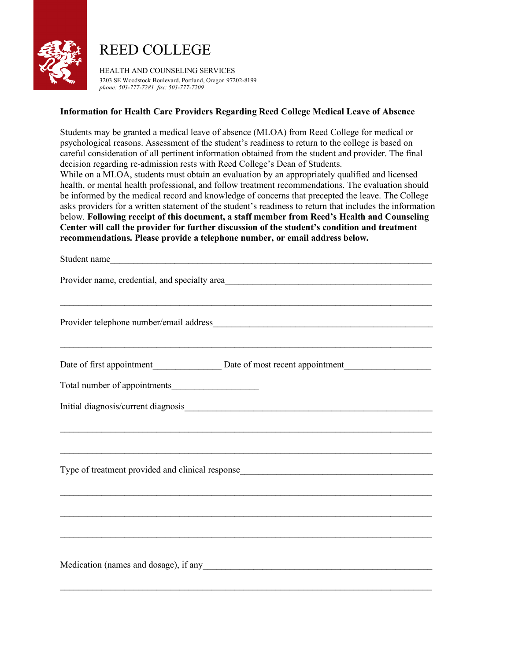

## REED COLLEGE

HEALTH AND COUNSELING SERVICES 3203 SE Woodstock Boulevard, Portland, Oregon 97202-8199 *phone: 503-777-7281 fax: 503-777-7209*

## **Information for Health Care Providers Regarding Reed College Medical Leave of Absence**

Students may be granted a medical leave of absence (MLOA) from Reed College for medical or psychological reasons. Assessment of the student's readiness to return to the college is based on careful consideration of all pertinent information obtained from the student and provider. The final decision regarding re-admission rests with Reed College's Dean of Students. While on a MLOA, students must obtain an evaluation by an appropriately qualified and licensed health, or mental health professional, and follow treatment recommendations. The evaluation should be informed by the medical record and knowledge of concerns that precepted the leave. The College asks providers for a written statement of the student's readiness to return that includes the information below. **Following receipt of this document, a staff member from Reed's Health and Counseling Center will call the provider for further discussion of the student's condition and treatment recommendations. Please provide a telephone number, or email address below.**

| Student name                                                                     |  |  |  |  |  |
|----------------------------------------------------------------------------------|--|--|--|--|--|
| Provider name, credential, and specialty area                                    |  |  |  |  |  |
| ,我们也不会有什么。""我们的人,我们也不会有什么?""我们的人,我们也不会有什么?""我们的人,我们也不会有什么?""我们的人,我们也不会有什么?""我们的人 |  |  |  |  |  |
|                                                                                  |  |  |  |  |  |
|                                                                                  |  |  |  |  |  |
|                                                                                  |  |  |  |  |  |
|                                                                                  |  |  |  |  |  |
|                                                                                  |  |  |  |  |  |
| ,我们也不会有什么。""我们的人,我们也不会有什么?""我们的人,我们也不会有什么?""我们的人,我们也不会有什么?""我们的人,我们也不会有什么?""我们的人 |  |  |  |  |  |
|                                                                                  |  |  |  |  |  |
|                                                                                  |  |  |  |  |  |
|                                                                                  |  |  |  |  |  |
|                                                                                  |  |  |  |  |  |
| ,我们也不会有什么。""我们的人,我们也不会有什么?""我们的人,我们也不会有什么?""我们的人,我们也不会有什么?""我们的人,我们也不会有什么?""我们的人 |  |  |  |  |  |
|                                                                                  |  |  |  |  |  |
| Medication (names and dosage), if any<br><u>manufactors</u>                      |  |  |  |  |  |
|                                                                                  |  |  |  |  |  |